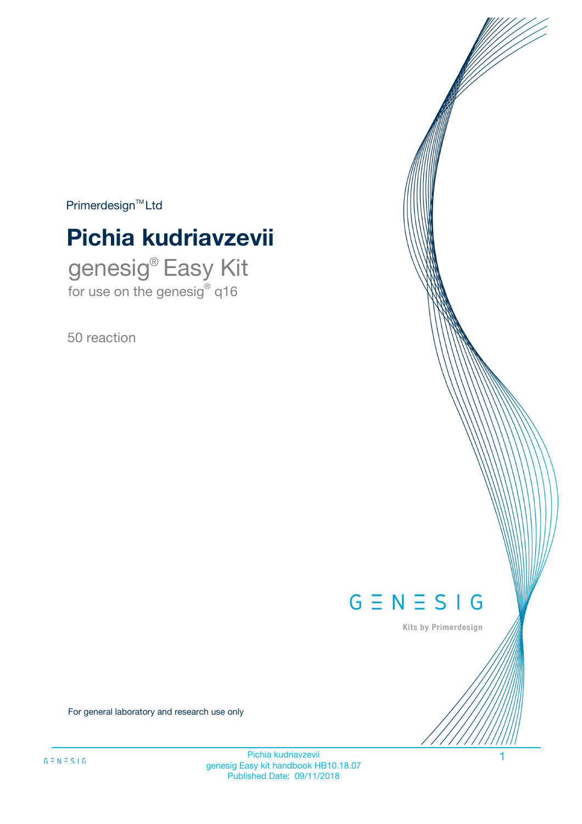$Primerdesign^{\text{TM}}Ltd$ 

# **Pichia kudriavzevii**

genesig® Easy Kit for use on the genesig® q16

50 reaction



Kits by Primerdesign

For general laboratory and research use only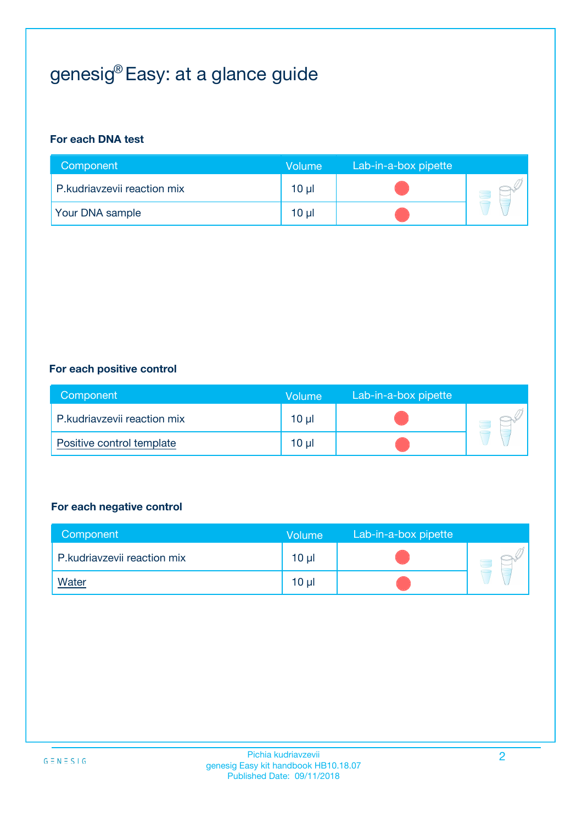# genesig® Easy: at a glance guide

#### **For each DNA test**

| Component                   | <b>Volume</b> | Lab-in-a-box pipette |  |
|-----------------------------|---------------|----------------------|--|
| P.kudriavzevii reaction mix | 10 µl         |                      |  |
| <b>Your DNA sample</b>      | 10 µl         |                      |  |

#### **For each positive control**

| Component                   | Volume          | Lab-in-a-box pipette |  |
|-----------------------------|-----------------|----------------------|--|
| P.kudriavzevii reaction mix | 10 <sub>µ</sub> |                      |  |
| Positive control template   | 10 <sub>µ</sub> |                      |  |

#### **For each negative control**

| Component                   | <b>Volume</b>   | Lab-in-a-box pipette |  |
|-----------------------------|-----------------|----------------------|--|
| P.kudriavzevii reaction mix | 10 <sub>µ</sub> |                      |  |
| <u>Water</u>                | 10 <sub>µ</sub> |                      |  |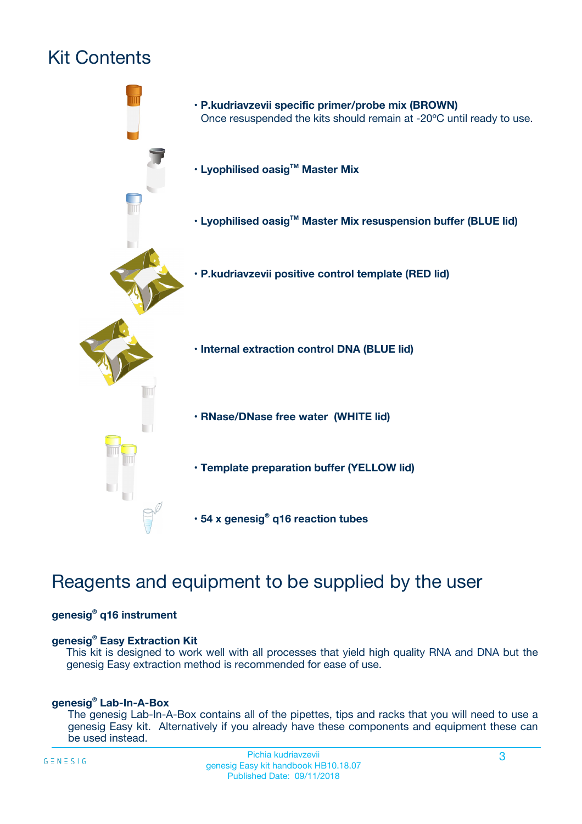# Kit Contents



## Reagents and equipment to be supplied by the user

#### **genesig® q16 instrument**

#### **genesig® Easy Extraction Kit**

This kit is designed to work well with all processes that yield high quality RNA and DNA but the genesig Easy extraction method is recommended for ease of use.

#### **genesig® Lab-In-A-Box**

The genesig Lab-In-A-Box contains all of the pipettes, tips and racks that you will need to use a genesig Easy kit. Alternatively if you already have these components and equipment these can be used instead.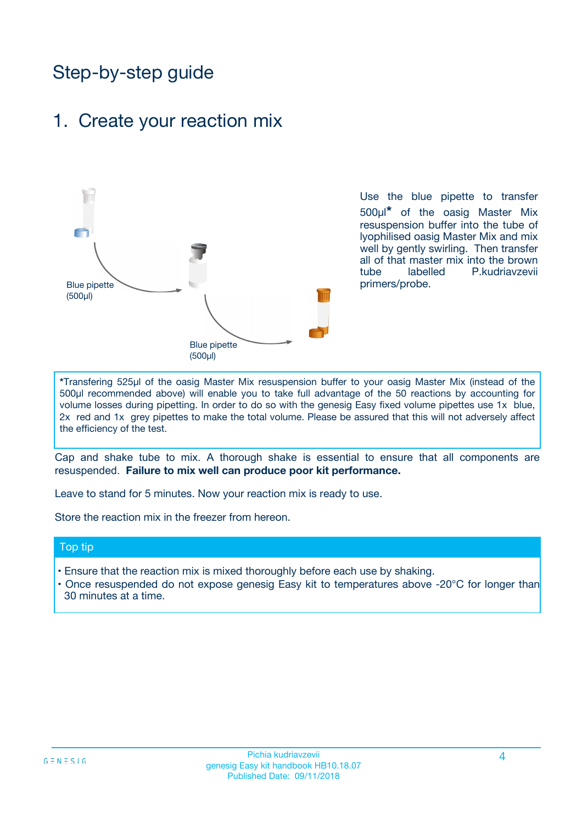## Step-by-step guide

### 1. Create your reaction mix



Use the blue pipette to transfer 500µl**\*** of the oasig Master Mix resuspension buffer into the tube of lyophilised oasig Master Mix and mix well by gently swirling. Then transfer all of that master mix into the brown tube labelled P.kudriavzevii primers/probe.

**\***Transfering 525µl of the oasig Master Mix resuspension buffer to your oasig Master Mix (instead of the 500µl recommended above) will enable you to take full advantage of the 50 reactions by accounting for volume losses during pipetting. In order to do so with the genesig Easy fixed volume pipettes use 1x blue, 2x red and 1x grey pipettes to make the total volume. Please be assured that this will not adversely affect the efficiency of the test.

Cap and shake tube to mix. A thorough shake is essential to ensure that all components are resuspended. **Failure to mix well can produce poor kit performance.**

Leave to stand for 5 minutes. Now your reaction mix is ready to use.

Store the reaction mix in the freezer from hereon.

#### Top tip

- Ensure that the reaction mix is mixed thoroughly before each use by shaking.
- Once resuspended do not expose genesig Easy kit to temperatures above -20°C for longer than 30 minutes at a time.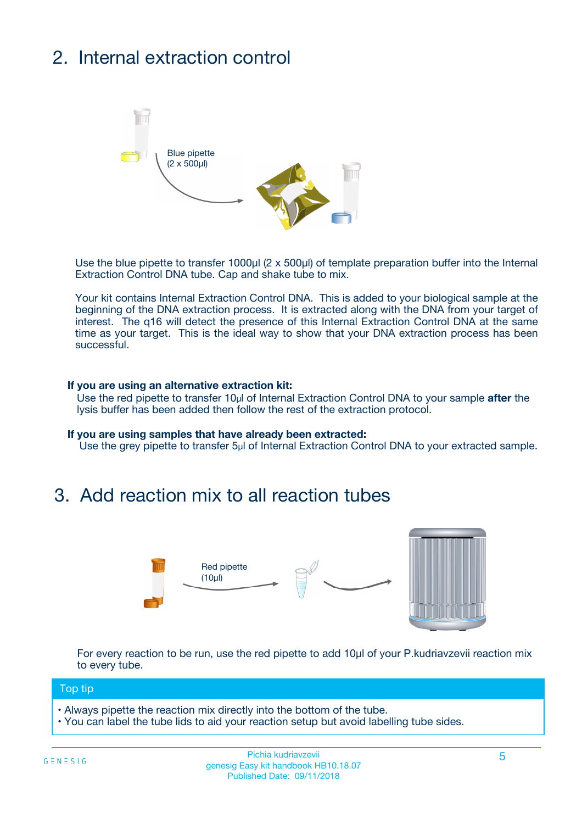# 2. Internal extraction control



Use the blue pipette to transfer 1000µl (2 x 500µl) of template preparation buffer into the Internal Extraction Control DNA tube. Cap and shake tube to mix.

Your kit contains Internal Extraction Control DNA. This is added to your biological sample at the beginning of the DNA extraction process. It is extracted along with the DNA from your target of interest. The q16 will detect the presence of this Internal Extraction Control DNA at the same time as your target. This is the ideal way to show that your DNA extraction process has been successful.

#### **If you are using an alternative extraction kit:**

Use the red pipette to transfer 10µl of Internal Extraction Control DNA to your sample **after** the lysis buffer has been added then follow the rest of the extraction protocol.

#### **If you are using samples that have already been extracted:**

Use the grey pipette to transfer 5µl of Internal Extraction Control DNA to your extracted sample.

## 3. Add reaction mix to all reaction tubes



For every reaction to be run, use the red pipette to add 10µl of your P.kudriavzevii reaction mix to every tube.

#### Top tip

- Always pipette the reaction mix directly into the bottom of the tube.
- You can label the tube lids to aid your reaction setup but avoid labelling tube sides.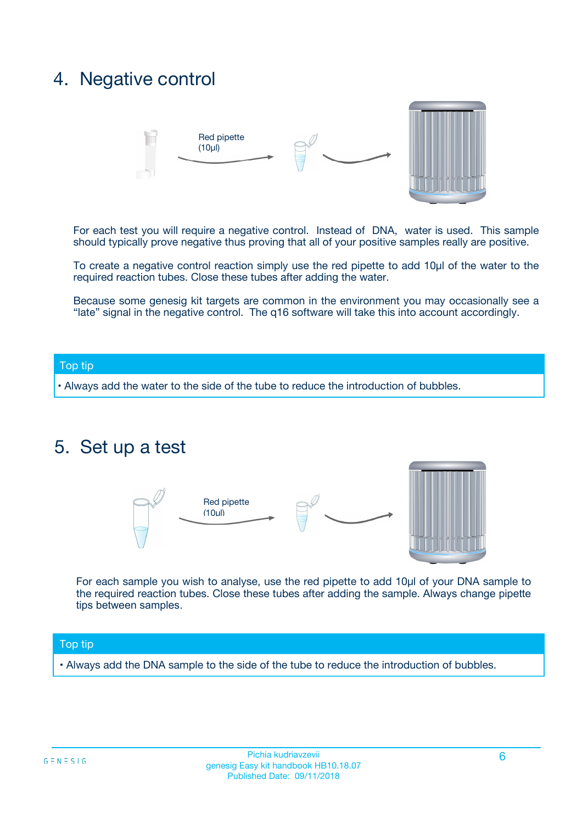## 4. Negative control



For each test you will require a negative control. Instead of DNA, water is used. This sample should typically prove negative thus proving that all of your positive samples really are positive.

To create a negative control reaction simply use the red pipette to add 10µl of the water to the required reaction tubes. Close these tubes after adding the water.

Because some genesig kit targets are common in the environment you may occasionally see a "late" signal in the negative control. The q16 software will take this into account accordingly.

#### Top tip

**•** Always add the water to the side of the tube to reduce the introduction of bubbles.

### 5. Set up a test



For each sample you wish to analyse, use the red pipette to add 10µl of your DNA sample to the required reaction tubes. Close these tubes after adding the sample. Always change pipette tips between samples.

#### Top tip

**•** Always add the DNA sample to the side of the tube to reduce the introduction of bubbles.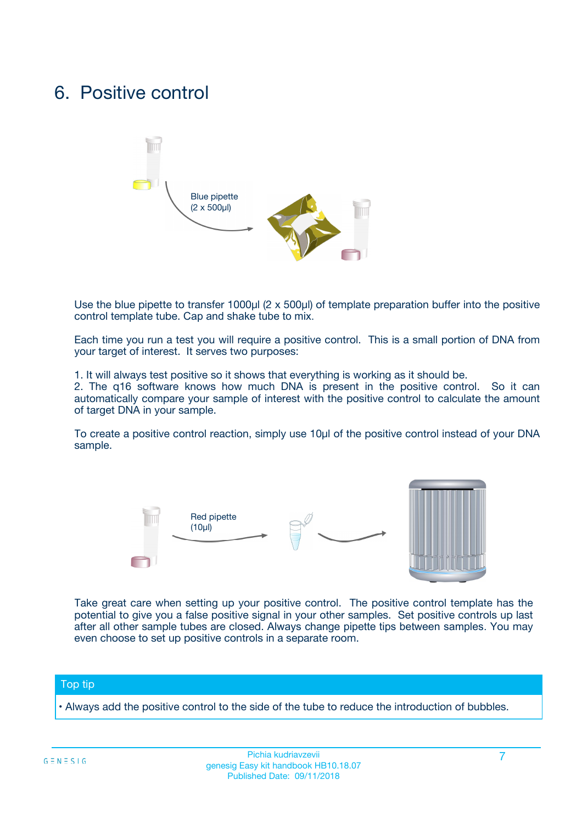## 6. Positive control



Use the blue pipette to transfer 1000µl (2 x 500µl) of template preparation buffer into the positive control template tube. Cap and shake tube to mix.

Each time you run a test you will require a positive control. This is a small portion of DNA from your target of interest. It serves two purposes:

1. It will always test positive so it shows that everything is working as it should be.

2. The q16 software knows how much DNA is present in the positive control. So it can automatically compare your sample of interest with the positive control to calculate the amount of target DNA in your sample.

To create a positive control reaction, simply use 10µl of the positive control instead of your DNA sample.



Take great care when setting up your positive control. The positive control template has the potential to give you a false positive signal in your other samples. Set positive controls up last after all other sample tubes are closed. Always change pipette tips between samples. You may even choose to set up positive controls in a separate room.

#### Top tip

**•** Always add the positive control to the side of the tube to reduce the introduction of bubbles.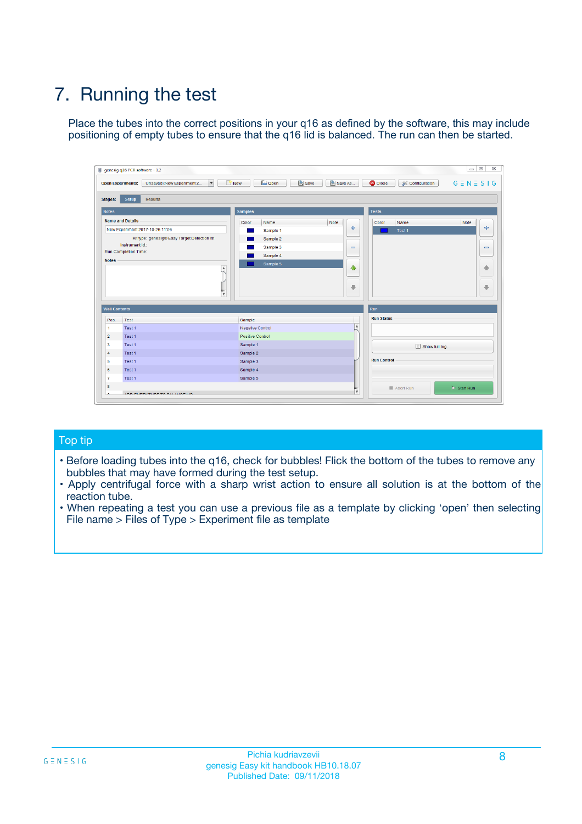# 7. Running the test

Place the tubes into the correct positions in your q16 as defined by the software, this may include positioning of empty tubes to ensure that the q16 lid is balanced. The run can then be started.

| genesig q16 PCR software - 1.2                                               |                                     | $\Box$                                                                                  |
|------------------------------------------------------------------------------|-------------------------------------|-----------------------------------------------------------------------------------------|
| Unsaved (New Experiment 2<br>$\vert \cdot \vert$<br><b>Open Experiments:</b> | <b>D</b> Open<br>Save<br>$\Box$ New | Save As<br><b>C</b> Close<br>$G \equiv N \equiv S \mid G$<br><b>&amp; Configuration</b> |
| Setup<br><b>Results</b><br><b>Stages:</b>                                    |                                     |                                                                                         |
| <b>Notes</b>                                                                 | Samples                             | <b>Tests</b>                                                                            |
| <b>Name and Details</b>                                                      | Color<br>Name                       | Note<br>Color<br>Note<br>Name                                                           |
| New Experiment 2017-10-26 11:06                                              | Sample 1                            | 条<br>علي<br>Test 1                                                                      |
| Kit type: genesig® Easy Target Detection kit                                 | Sample 2                            |                                                                                         |
| Instrument Id.:                                                              | Sample 3                            | $\qquad \qquad \blacksquare$<br>$\qquad \qquad \blacksquare$                            |
| Run Completion Time:                                                         | Sample 4                            |                                                                                         |
| <b>Notes</b>                                                                 | Sample 5<br>A<br>v                  | $\triangle$<br>4<br>$\oplus$<br>₩                                                       |
| <b>Well Contents</b>                                                         |                                     | <b>Run</b>                                                                              |
| Pos.<br>Test                                                                 | Sample                              | <b>Run Status</b>                                                                       |
| Test 1<br>-1                                                                 | <b>Negative Control</b>             | $\blacktriangle$                                                                        |
| $\overline{2}$<br>Test 1                                                     | <b>Positive Control</b>             |                                                                                         |
| $\overline{\mathbf{3}}$<br>Test 1                                            | Sample 1                            | Show full log                                                                           |
| Test 1<br>$\overline{4}$                                                     | Sample 2                            |                                                                                         |
| 5<br>Test 1                                                                  | Sample 3                            | <b>Run Control</b>                                                                      |
| 6<br>Test 1                                                                  | Sample 4                            |                                                                                         |
| $\overline{7}$<br>Test 1                                                     | Sample 5                            |                                                                                         |
| 8                                                                            |                                     | $\triangleright$ Start Run<br>Abort Run                                                 |
| <b>JOD FURTY TUDE TO BUILDED IN</b>                                          |                                     | $\overline{\mathbf{v}}$                                                                 |

#### Top tip

- Before loading tubes into the q16, check for bubbles! Flick the bottom of the tubes to remove any bubbles that may have formed during the test setup.
- Apply centrifugal force with a sharp wrist action to ensure all solution is at the bottom of the reaction tube.
- When repeating a test you can use a previous file as a template by clicking 'open' then selecting File name > Files of Type > Experiment file as template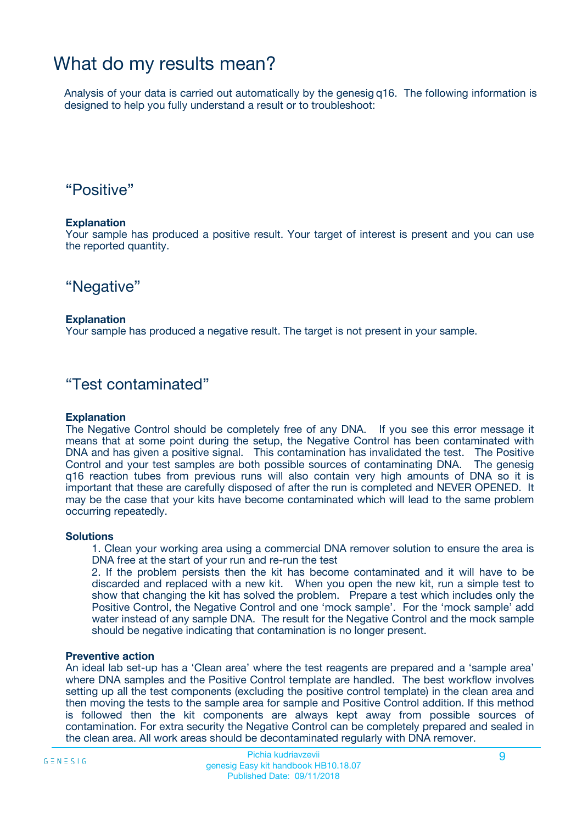## What do my results mean?

Analysis of your data is carried out automatically by the genesig q16. The following information is designed to help you fully understand a result or to troubleshoot:

### "Positive"

#### **Explanation**

Your sample has produced a positive result. Your target of interest is present and you can use the reported quantity.

"Negative"

#### **Explanation**

Your sample has produced a negative result. The target is not present in your sample.

### "Test contaminated"

#### **Explanation**

The Negative Control should be completely free of any DNA. If you see this error message it means that at some point during the setup, the Negative Control has been contaminated with DNA and has given a positive signal. This contamination has invalidated the test. The Positive Control and your test samples are both possible sources of contaminating DNA. The genesig q16 reaction tubes from previous runs will also contain very high amounts of DNA so it is important that these are carefully disposed of after the run is completed and NEVER OPENED. It may be the case that your kits have become contaminated which will lead to the same problem occurring repeatedly.

#### **Solutions**

1. Clean your working area using a commercial DNA remover solution to ensure the area is DNA free at the start of your run and re-run the test

2. If the problem persists then the kit has become contaminated and it will have to be discarded and replaced with a new kit. When you open the new kit, run a simple test to show that changing the kit has solved the problem. Prepare a test which includes only the Positive Control, the Negative Control and one 'mock sample'. For the 'mock sample' add water instead of any sample DNA. The result for the Negative Control and the mock sample should be negative indicating that contamination is no longer present.

#### **Preventive action**

An ideal lab set-up has a 'Clean area' where the test reagents are prepared and a 'sample area' where DNA samples and the Positive Control template are handled. The best workflow involves setting up all the test components (excluding the positive control template) in the clean area and then moving the tests to the sample area for sample and Positive Control addition. If this method is followed then the kit components are always kept away from possible sources of contamination. For extra security the Negative Control can be completely prepared and sealed in the clean area. All work areas should be decontaminated regularly with DNA remover.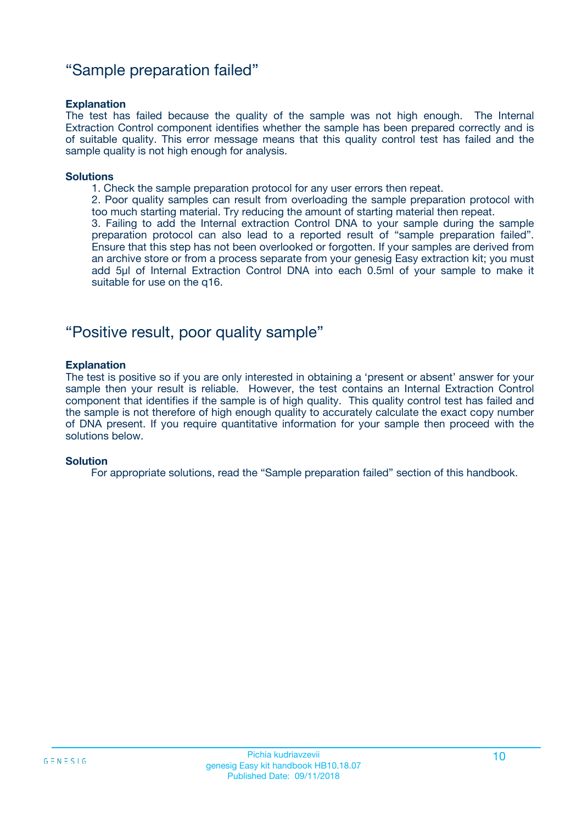### "Sample preparation failed"

#### **Explanation**

The test has failed because the quality of the sample was not high enough. The Internal Extraction Control component identifies whether the sample has been prepared correctly and is of suitable quality. This error message means that this quality control test has failed and the sample quality is not high enough for analysis.

#### **Solutions**

1. Check the sample preparation protocol for any user errors then repeat.

2. Poor quality samples can result from overloading the sample preparation protocol with too much starting material. Try reducing the amount of starting material then repeat.

3. Failing to add the Internal extraction Control DNA to your sample during the sample preparation protocol can also lead to a reported result of "sample preparation failed". Ensure that this step has not been overlooked or forgotten. If your samples are derived from an archive store or from a process separate from your genesig Easy extraction kit; you must add 5µl of Internal Extraction Control DNA into each 0.5ml of your sample to make it suitable for use on the q16.

### "Positive result, poor quality sample"

#### **Explanation**

The test is positive so if you are only interested in obtaining a 'present or absent' answer for your sample then your result is reliable. However, the test contains an Internal Extraction Control component that identifies if the sample is of high quality. This quality control test has failed and the sample is not therefore of high enough quality to accurately calculate the exact copy number of DNA present. If you require quantitative information for your sample then proceed with the solutions below.

#### **Solution**

For appropriate solutions, read the "Sample preparation failed" section of this handbook.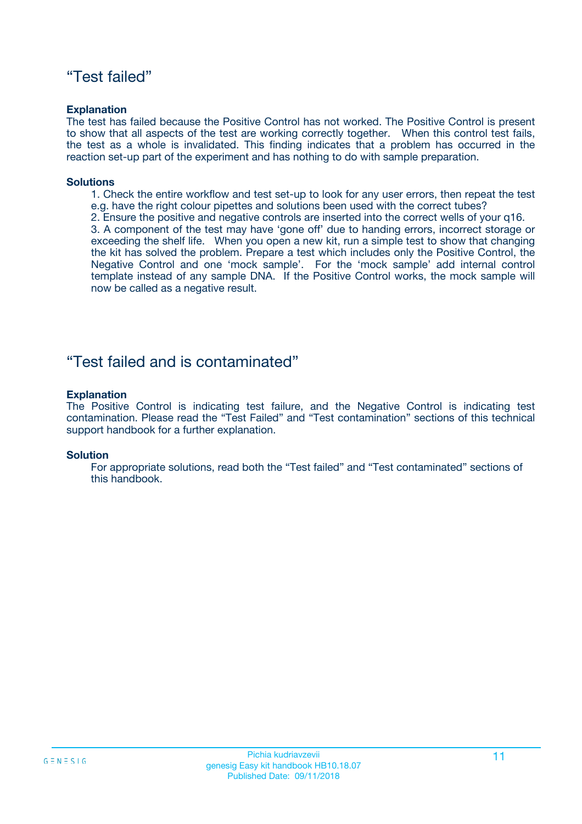### "Test failed"

#### **Explanation**

The test has failed because the Positive Control has not worked. The Positive Control is present to show that all aspects of the test are working correctly together. When this control test fails, the test as a whole is invalidated. This finding indicates that a problem has occurred in the reaction set-up part of the experiment and has nothing to do with sample preparation.

#### **Solutions**

- 1. Check the entire workflow and test set-up to look for any user errors, then repeat the test e.g. have the right colour pipettes and solutions been used with the correct tubes?
- 2. Ensure the positive and negative controls are inserted into the correct wells of your q16.

3. A component of the test may have 'gone off' due to handing errors, incorrect storage or exceeding the shelf life. When you open a new kit, run a simple test to show that changing the kit has solved the problem. Prepare a test which includes only the Positive Control, the Negative Control and one 'mock sample'. For the 'mock sample' add internal control template instead of any sample DNA. If the Positive Control works, the mock sample will now be called as a negative result.

### "Test failed and is contaminated"

#### **Explanation**

The Positive Control is indicating test failure, and the Negative Control is indicating test contamination. Please read the "Test Failed" and "Test contamination" sections of this technical support handbook for a further explanation.

#### **Solution**

For appropriate solutions, read both the "Test failed" and "Test contaminated" sections of this handbook.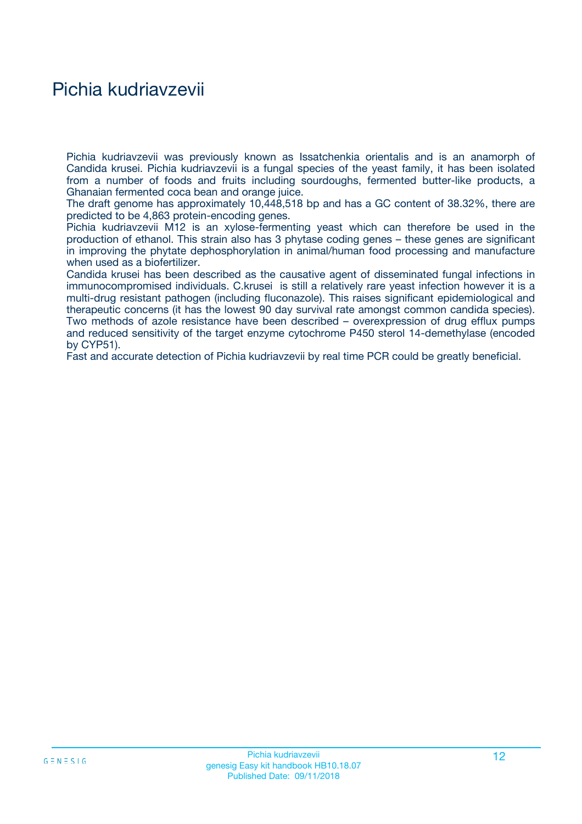## Pichia kudriavzevii

Pichia kudriavzevii was previously known as Issatchenkia orientalis and is an anamorph of Candida krusei. Pichia kudriavzevii is a fungal species of the yeast family, it has been isolated from a number of foods and fruits including sourdoughs, fermented butter-like products, a Ghanaian fermented coca bean and orange juice.

The draft genome has approximately 10,448,518 bp and has a GC content of 38.32%, there are predicted to be 4,863 protein-encoding genes.

Pichia kudriavzevii M12 is an xylose-fermenting yeast which can therefore be used in the production of ethanol. This strain also has 3 phytase coding genes – these genes are significant in improving the phytate dephosphorylation in animal/human food processing and manufacture when used as a biofertilizer.

Candida krusei has been described as the causative agent of disseminated fungal infections in immunocompromised individuals. C.krusei is still a relatively rare yeast infection however it is a multi-drug resistant pathogen (including fluconazole). This raises significant epidemiological and therapeutic concerns (it has the lowest 90 day survival rate amongst common candida species). Two methods of azole resistance have been described – overexpression of drug efflux pumps and reduced sensitivity of the target enzyme cytochrome P450 sterol 14-demethylase (encoded by CYP51).

Fast and accurate detection of Pichia kudriavzevii by real time PCR could be greatly beneficial.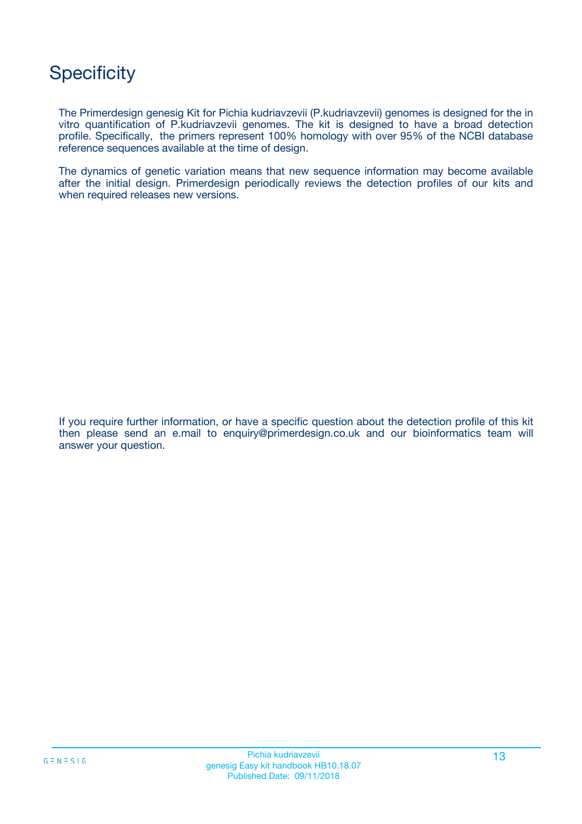## **Specificity**

The Primerdesign genesig Kit for Pichia kudriavzevii (P.kudriavzevii) genomes is designed for the in vitro quantification of P.kudriavzevii genomes. The kit is designed to have a broad detection profile. Specifically, the primers represent 100% homology with over 95% of the NCBI database reference sequences available at the time of design.

The dynamics of genetic variation means that new sequence information may become available after the initial design. Primerdesign periodically reviews the detection profiles of our kits and when required releases new versions.

If you require further information, or have a specific question about the detection profile of this kit then please send an e.mail to enquiry@primerdesign.co.uk and our bioinformatics team will answer your question.